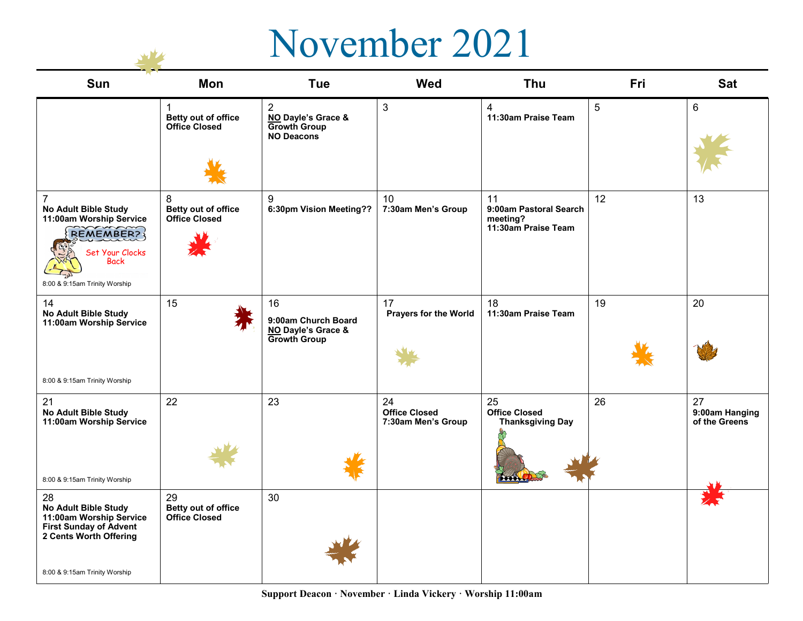## November 2021

**SWA** 

| Sun                                                                                                                                                      | Mon                                                        | <b>Tue</b>                                                                       | <b>Wed</b>                                       | <b>Thu</b>                                                           | Fri | <b>Sat</b>                            |
|----------------------------------------------------------------------------------------------------------------------------------------------------------|------------------------------------------------------------|----------------------------------------------------------------------------------|--------------------------------------------------|----------------------------------------------------------------------|-----|---------------------------------------|
|                                                                                                                                                          | $\mathbf 1$<br>Betty out of office<br><b>Office Closed</b> | $\overline{2}$<br>NO Dayle's Grace &<br><b>Growth Group</b><br><b>NO Deacons</b> | $\mathbf{3}$                                     | 4<br>11:30am Praise Team                                             | 5   | 6                                     |
| $\overline{7}$<br>No Adult Bible Study<br>11:00am Worship Service<br><b>REMEMBER?</b><br>Set Your Clocks<br><b>Back</b><br>8:00 & 9:15am Trinity Worship | 8<br>Betty out of office<br><b>Office Closed</b>           | 9<br>6:30pm Vision Meeting??                                                     | 10<br>7:30am Men's Group                         | 11<br>9:00am Pastoral Search<br>meeting?<br>11:30am Praise Team      | 12  | 13                                    |
| 14<br>No Adult Bible Study<br>11:00am Worship Service                                                                                                    | 15                                                         | 16<br>9:00am Church Board<br>NO Dayle's Grace &<br>Growth Group                  | 17<br>Prayers for the World                      | 18<br>11:30am Praise Team                                            | 19  | 20                                    |
| 8:00 & 9:15am Trinity Worship                                                                                                                            |                                                            |                                                                                  |                                                  |                                                                      |     |                                       |
| 21<br>No Adult Bible Study<br>11:00am Worship Service<br>8:00 & 9:15am Trinity Worship                                                                   | 22                                                         | 23                                                                               | 24<br><b>Office Closed</b><br>7:30am Men's Group | 25<br><b>Office Closed</b><br><b>Thanksgiving Day</b><br><b>Book</b> | 26  | 27<br>9:00am Hanging<br>of the Greens |
| 28                                                                                                                                                       | 29                                                         | 30                                                                               |                                                  |                                                                      |     |                                       |
| No Adult Bible Study<br>11:00am Worship Service<br><b>First Sunday of Advent</b><br>2 Cents Worth Offering<br>8:00 & 9:15am Trinity Worship              | Betty out of office<br><b>Office Closed</b>                |                                                                                  |                                                  |                                                                      |     |                                       |